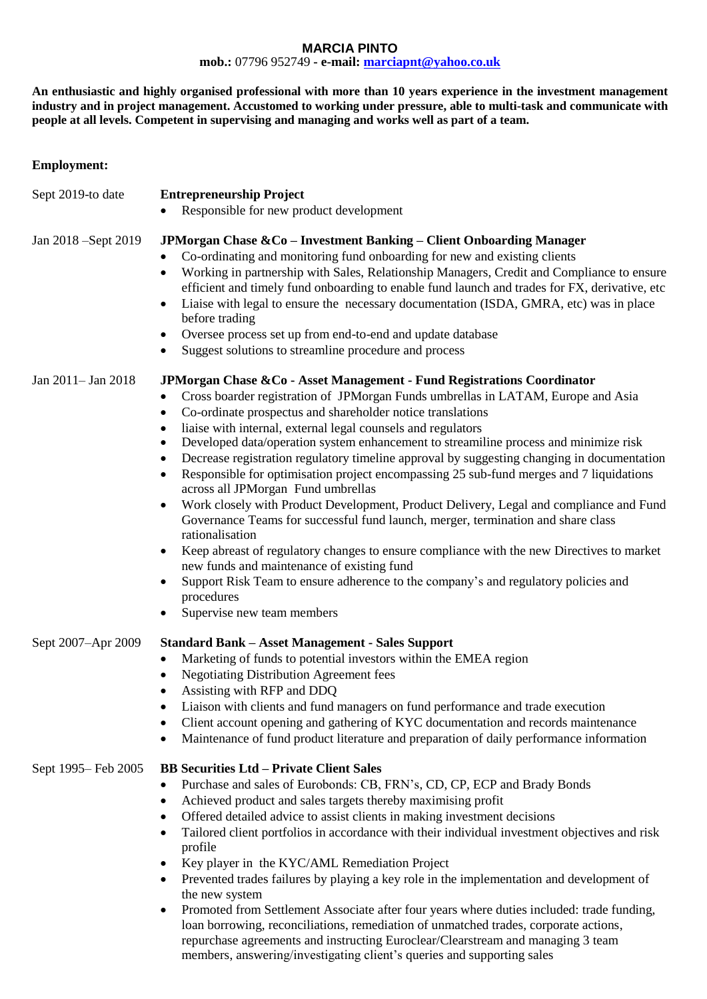## **MARCIA PINTO**

**mob.:** 07796 952749 **- e-mail: [marciapnt@yahoo.co.uk](mailto:marciapnt@yahoo.co.uk)**

**An enthusiastic and highly organised professional with more than 10 years experience in the investment management industry and in project management. Accustomed to working under pressure, able to multi-task and communicate with people at all levels. Competent in supervising and managing and works well as part of a team.**

## **Employment:**

| Sept 2019-to date   | <b>Entrepreneurship Project</b><br>Responsible for new product development                                                                                                                                                                                                                                                                                                                                                                                                                                                                                                                                                                                                                                                                                                                                                                                                                                                                                                                                                                                                                                                                                   |
|---------------------|--------------------------------------------------------------------------------------------------------------------------------------------------------------------------------------------------------------------------------------------------------------------------------------------------------------------------------------------------------------------------------------------------------------------------------------------------------------------------------------------------------------------------------------------------------------------------------------------------------------------------------------------------------------------------------------------------------------------------------------------------------------------------------------------------------------------------------------------------------------------------------------------------------------------------------------------------------------------------------------------------------------------------------------------------------------------------------------------------------------------------------------------------------------|
| Jan 2018 -Sept 2019 | JPMorgan Chase & Co - Investment Banking - Client Onboarding Manager<br>Co-ordinating and monitoring fund onboarding for new and existing clients<br>Working in partnership with Sales, Relationship Managers, Credit and Compliance to ensure<br>$\bullet$<br>efficient and timely fund onboarding to enable fund launch and trades for FX, derivative, etc<br>Liaise with legal to ensure the necessary documentation (ISDA, GMRA, etc) was in place<br>$\bullet$<br>before trading<br>Oversee process set up from end-to-end and update database<br>$\bullet$<br>Suggest solutions to streamline procedure and process                                                                                                                                                                                                                                                                                                                                                                                                                                                                                                                                    |
| Jan 2011-Jan 2018   | JPMorgan Chase & Co - Asset Management - Fund Registrations Coordinator<br>Cross boarder registration of JPMorgan Funds umbrellas in LATAM, Europe and Asia<br>$\bullet$<br>Co-ordinate prospectus and shareholder notice translations<br>$\bullet$<br>liaise with internal, external legal counsels and regulators<br>$\bullet$<br>Developed data/operation system enhancement to streamiline process and minimize risk<br>٠<br>Decrease registration regulatory timeline approval by suggesting changing in documentation<br>Responsible for optimisation project encompassing 25 sub-fund merges and 7 liquidations<br>across all JPMorgan Fund umbrellas<br>Work closely with Product Development, Product Delivery, Legal and compliance and Fund<br>$\bullet$<br>Governance Teams for successful fund launch, merger, termination and share class<br>rationalisation<br>Keep abreast of regulatory changes to ensure compliance with the new Directives to market<br>٠<br>new funds and maintenance of existing fund<br>Support Risk Team to ensure adherence to the company's and regulatory policies and<br>procedures<br>Supervise new team members |
| Sept 2007-Apr 2009  | <b>Standard Bank - Asset Management - Sales Support</b><br>Marketing of funds to potential investors within the EMEA region<br>٠<br><b>Negotiating Distribution Agreement fees</b><br>$\bullet$<br>Assisting with RFP and DDQ<br>Liaison with clients and fund managers on fund performance and trade execution<br>Client account opening and gathering of KYC documentation and records maintenance<br>Maintenance of fund product literature and preparation of daily performance information                                                                                                                                                                                                                                                                                                                                                                                                                                                                                                                                                                                                                                                              |
| Sept 1995– Feb 2005 | <b>BB Securities Ltd - Private Client Sales</b><br>Purchase and sales of Eurobonds: CB, FRN's, CD, CP, ECP and Brady Bonds<br>$\bullet$<br>Achieved product and sales targets thereby maximising profit<br>$\bullet$<br>Offered detailed advice to assist clients in making investment decisions<br>$\bullet$<br>Tailored client portfolios in accordance with their individual investment objectives and risk<br>$\bullet$<br>profile<br>Key player in the KYC/AML Remediation Project<br>٠<br>Prevented trades failures by playing a key role in the implementation and development of<br>the new system<br>Promoted from Settlement Associate after four years where duties included: trade funding,<br>$\bullet$<br>loan borrowing, reconciliations, remediation of unmatched trades, corporate actions,<br>repurchase agreements and instructing Euroclear/Clearstream and managing 3 team<br>members, answering/investigating client's queries and supporting sales                                                                                                                                                                                    |